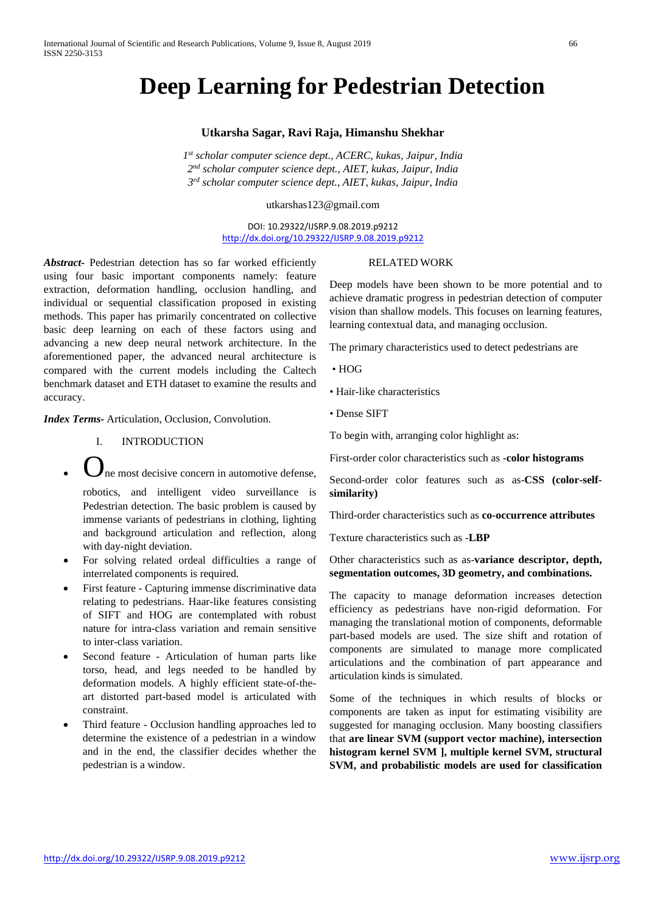# **Deep Learning for Pedestrian Detection**

#### **Utkarsha Sagar, Ravi Raja, Himanshu Shekhar**

*1st scholar computer science dept., ACERC, kukas, Jaipur, India 2nd scholar computer science dept., AIET, kukas, Jaipur, India 3rd scholar computer science dept., AIET, kukas, Jaipur, India*

utkarshas123@gmail.com

DOI: 10.29322/IJSRP.9.08.2019.p9212 <http://dx.doi.org/10.29322/IJSRP.9.08.2019.p9212>

*Abstract-* Pedestrian detection has so far worked efficiently using four basic important components namely: feature extraction, deformation handling, occlusion handling, and individual or sequential classification proposed in existing methods. This paper has primarily concentrated on collective basic deep learning on each of these factors using and advancing a new deep neural network architecture. In the aforementioned paper, the advanced neural architecture is compared with the current models including the Caltech benchmark dataset and ETH dataset to examine the results and accuracy.

*Index Terms-* Articulation, Occlusion, Convolution.

- I. INTRODUCTION
- $\mathbf{J}_{\text{ne} \text{most} }$  decisive concern in automotive defense.

robotics, and intelligent video surveillance is Pedestrian detection. The basic problem is caused by immense variants of pedestrians in clothing, lighting and background articulation and reflection, along with day-night deviation.

- For solving related ordeal difficulties a range of interrelated components is required.
- First feature Capturing immense discriminative data relating to pedestrians. Haar-like features consisting of SIFT and HOG are contemplated with robust nature for intra-class variation and remain sensitive to inter-class variation.
- Second feature Articulation of human parts like torso, head, and legs needed to be handled by deformation models. A highly efficient state-of-theart distorted part-based model is articulated with constraint.
- Third feature Occlusion handling approaches led to determine the existence of a pedestrian in a window and in the end, the classifier decides whether the pedestrian is a window.

#### RELATED WORK

Deep models have been shown to be more potential and to achieve dramatic progress in pedestrian detection of computer vision than shallow models. This focuses on learning features, learning contextual data, and managing occlusion.

The primary characteristics used to detect pedestrians are

- HOG
- Hair-like characteristics
- Dense SIFT

To begin with, arranging color highlight as:

First-order color characteristics such as -**color histograms**

Second-order color features such as as-**CSS (color-selfsimilarity)**

Third-order characteristics such as **co-occurrence attributes**

Texture characteristics such as -**LBP** 

Other characteristics such as as-**variance descriptor, depth, segmentation outcomes, 3D geometry, and combinations.**

The capacity to manage deformation increases detection efficiency as pedestrians have non-rigid deformation. For managing the translational motion of components, deformable part-based models are used. The size shift and rotation of components are simulated to manage more complicated articulations and the combination of part appearance and articulation kinds is simulated.

Some of the techniques in which results of blocks or components are taken as input for estimating visibility are suggested for managing occlusion. Many boosting classifiers that **are linear SVM (support vector machine), intersection histogram kernel SVM ], multiple kernel SVM, structural SVM, and probabilistic models are used for classification**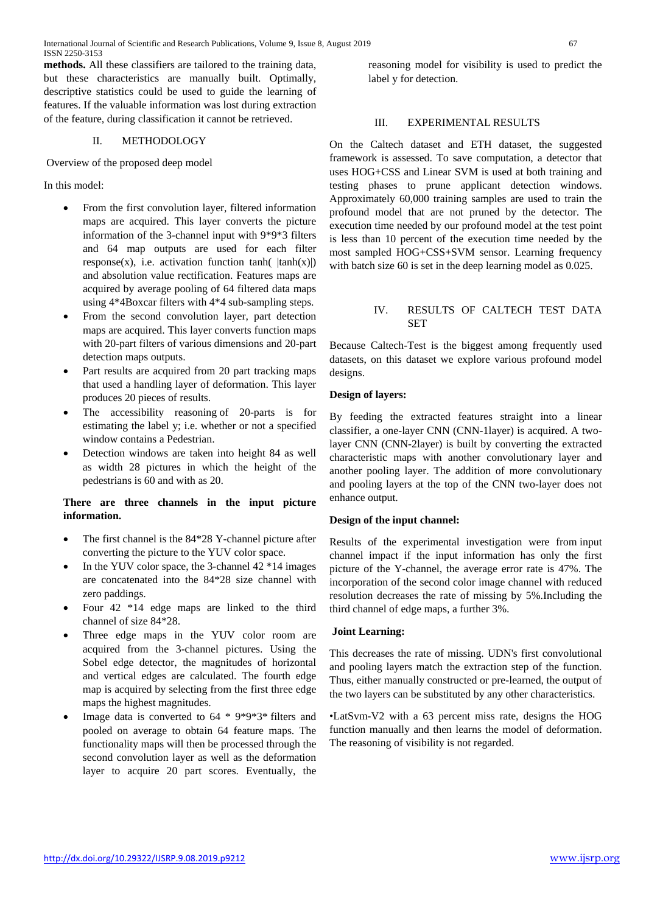International Journal of Scientific and Research Publications, Volume 9, Issue 8, August 2019 67 ISSN 2250-3153

**methods.** All these classifiers are tailored to the training data, but these characteristics are manually built. Optimally, descriptive statistics could be used to guide the learning of features. If the valuable information was lost during extraction of the feature, during classification it cannot be retrieved.

# II. METHODOLOGY

Overview of the proposed deep model

In this model:

- From the first convolution layer, filtered information maps are acquired. This layer converts the picture information of the 3-channel input with 9\*9\*3 filters and 64 map outputs are used for each filter response(x), i.e. activation function  $tanh(|tanh(x)|)$ and absolution value rectification. Features maps are acquired by average pooling of 64 filtered data maps using 4\*4Boxcar filters with 4\*4 sub-sampling steps.
- From the second convolution layer, part detection maps are acquired. This layer converts function maps with 20-part filters of various dimensions and 20-part detection maps outputs.
- Part results are acquired from 20 part tracking maps that used a handling layer of deformation. This layer produces 20 pieces of results.
- The accessibility reasoning of 20-parts is for estimating the label y; i.e. whether or not a specified window contains a Pedestrian.
- Detection windows are taken into height 84 as well as width 28 pictures in which the height of the pedestrians is 60 and with as 20.

# **There are three channels in the input picture information.**

- The first channel is the 84\*28 Y-channel picture after converting the picture to the YUV color space.
- In the YUV color space, the 3-channel 42  $*14$  images are concatenated into the 84\*28 size channel with zero paddings.
- Four 42 \*14 edge maps are linked to the third channel of size 84\*28.
- Three edge maps in the YUV color room are acquired from the 3-channel pictures. Using the Sobel edge detector, the magnitudes of horizontal and vertical edges are calculated. The fourth edge map is acquired by selecting from the first three edge maps the highest magnitudes.
- Image data is converted to  $64 * 9*9*3*$  filters and pooled on average to obtain 64 feature maps. The functionality maps will then be processed through the second convolution layer as well as the deformation layer to acquire 20 part scores. Eventually, the

reasoning model for visibility is used to predict the label y for detection.

## III. EXPERIMENTAL RESULTS

On the Caltech dataset and ETH dataset, the suggested framework is assessed. To save computation, a detector that uses HOG+CSS and Linear SVM is used at both training and testing phases to prune applicant detection windows. Approximately 60,000 training samples are used to train the profound model that are not pruned by the detector. The execution time needed by our profound model at the test point is less than 10 percent of the execution time needed by the most sampled HOG+CSS+SVM sensor. Learning frequency with batch size 60 is set in the deep learning model as 0.025.

# IV. RESULTS OF CALTECH TEST DATA SET

Because Caltech-Test is the biggest among frequently used datasets, on this dataset we explore various profound model designs.

## **Design of layers:**

By feeding the extracted features straight into a linear classifier, a one-layer CNN (CNN-1layer) is acquired. A twolayer CNN (CNN-2layer) is built by converting the extracted characteristic maps with another convolutionary layer and another pooling layer. The addition of more convolutionary and pooling layers at the top of the CNN two-layer does not enhance output.

#### **Design of the input channel:**

Results of the experimental investigation were from input channel impact if the input information has only the first picture of the Y-channel, the average error rate is 47%. The incorporation of the second color image channel with reduced resolution decreases the rate of missing by 5%.Including the third channel of edge maps, a further 3%.

#### **Joint Learning:**

This decreases the rate of missing. UDN's first convolutional and pooling layers match the extraction step of the function. Thus, either manually constructed or pre-learned, the output of the two layers can be substituted by any other characteristics.

•LatSvm-V2 with a 63 percent miss rate, designs the HOG function manually and then learns the model of deformation. The reasoning of visibility is not regarded.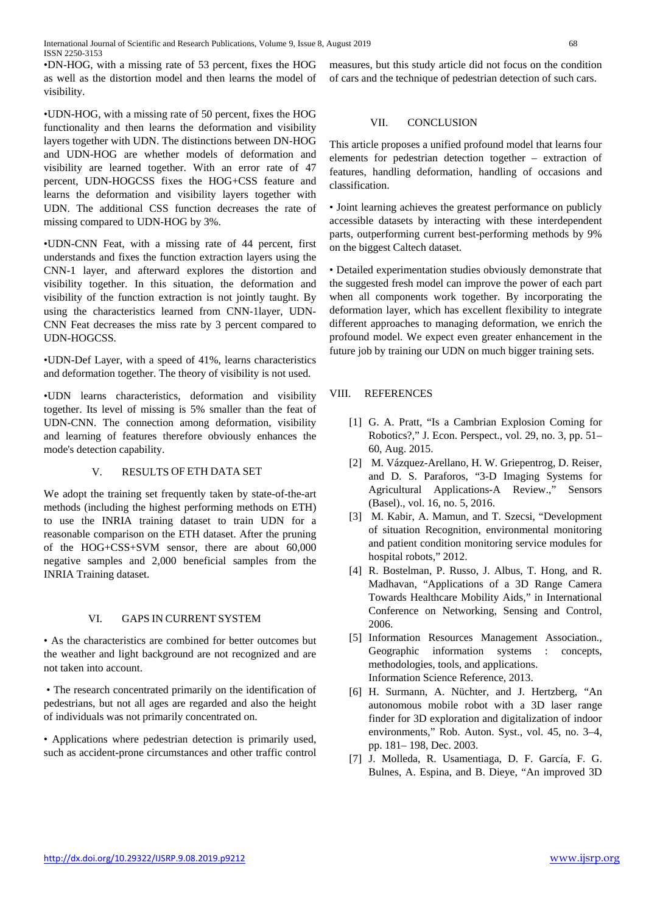International Journal of Scientific and Research Publications, Volume 9, Issue 8, August 2019 68 ISSN 2250-3153

•DN-HOG, with a missing rate of 53 percent, fixes the HOG as well as the distortion model and then learns the model of visibility.

•UDN-HOG, with a missing rate of 50 percent, fixes the HOG functionality and then learns the deformation and visibility layers together with UDN. The distinctions between DN-HOG and UDN-HOG are whether models of deformation and visibility are learned together. With an error rate of 47 percent, UDN-HOGCSS fixes the HOG+CSS feature and learns the deformation and visibility layers together with UDN. The additional CSS function decreases the rate of missing compared to UDN-HOG by 3%.

•UDN-CNN Feat, with a missing rate of 44 percent, first understands and fixes the function extraction layers using the CNN-1 layer, and afterward explores the distortion and visibility together. In this situation, the deformation and visibility of the function extraction is not jointly taught. By using the characteristics learned from CNN-1layer, UDN-CNN Feat decreases the miss rate by 3 percent compared to UDN-HOGCSS.

•UDN-Def Layer, with a speed of 41%, learns characteristics and deformation together. The theory of visibility is not used.

•UDN learns characteristics, deformation and visibility together. Its level of missing is 5% smaller than the feat of UDN-CNN. The connection among deformation, visibility and learning of features therefore obviously enhances the mode's detection capability.

# V. RESULTS OF ETH DATA SET

We adopt the training set frequently taken by state-of-the-art methods (including the highest performing methods on ETH) to use the INRIA training dataset to train UDN for a reasonable comparison on the ETH dataset. After the pruning of the HOG+CSS+SVM sensor, there are about 60,000 negative samples and 2,000 beneficial samples from the INRIA Training dataset.

## VI. GAPS IN CURRENT SYSTEM

• As the characteristics are combined for better outcomes but the weather and light background are not recognized and are not taken into account.

• The research concentrated primarily on the identification of pedestrians, but not all ages are regarded and also the height of individuals was not primarily concentrated on.

• Applications where pedestrian detection is primarily used, such as accident-prone circumstances and other traffic control measures, but this study article did not focus on the condition of cars and the technique of pedestrian detection of such cars.

## VII. CONCLUSION

This article proposes a unified profound model that learns four elements for pedestrian detection together – extraction of features, handling deformation, handling of occasions and classification.

• Joint learning achieves the greatest performance on publicly accessible datasets by interacting with these interdependent parts, outperforming current best-performing methods by 9% on the biggest Caltech dataset.

• Detailed experimentation studies obviously demonstrate that the suggested fresh model can improve the power of each part when all components work together. By incorporating the deformation layer, which has excellent flexibility to integrate different approaches to managing deformation, we enrich the profound model. We expect even greater enhancement in the future job by training our UDN on much bigger training sets.

# VIII. REFERENCES

- [1] G. A. Pratt, "Is a Cambrian Explosion Coming for Robotics?," J. Econ. Perspect., vol. 29, no. 3, pp. 51– 60, Aug. 2015.
- [2] M. Vázquez-Arellano, H. W. Griepentrog, D. Reiser, and D. S. Paraforos, "3-D Imaging Systems for Agricultural Applications-A Review.," Sensors (Basel)., vol. 16, no. 5, 2016.
- [3] M. Kabir, A. Mamun, and T. Szecsi, "Development of situation Recognition, environmental monitoring and patient condition monitoring service modules for hospital robots," 2012.
- [4] R. Bostelman, P. Russo, J. Albus, T. Hong, and R. Madhavan, "Applications of a 3D Range Camera Towards Healthcare Mobility Aids," in International Conference on Networking, Sensing and Control, 2006.
- [5] Information Resources Management Association., Geographic information systems : concepts, methodologies, tools, and applications. Information Science Reference, 2013.
- [6] H. Surmann, A. Nüchter, and J. Hertzberg, "An autonomous mobile robot with a 3D laser range finder for 3D exploration and digitalization of indoor environments," Rob. Auton. Syst., vol. 45, no. 3–4, pp. 181– 198, Dec. 2003.
- [7] J. Molleda, R. Usamentiaga, D. F. García, F. G. Bulnes, A. Espina, and B. Dieye, "An improved 3D